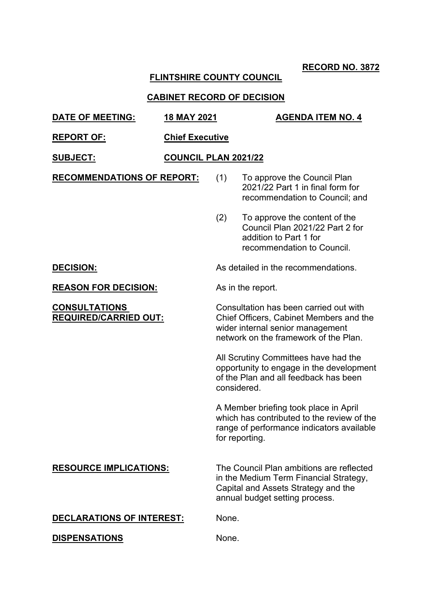## **FLINTSHIRE COUNTY COUNCIL**

| <b>DATE OF MEETING:</b>                              | <b>18 MAY 2021</b>     |                                                                                                                                                                | <b>AGENDA ITEM NO. 4</b>                                                                                                                                    |  |
|------------------------------------------------------|------------------------|----------------------------------------------------------------------------------------------------------------------------------------------------------------|-------------------------------------------------------------------------------------------------------------------------------------------------------------|--|
| <b>REPORT OF:</b>                                    | <b>Chief Executive</b> |                                                                                                                                                                |                                                                                                                                                             |  |
| <u>SUBJECT:</u>                                      | COUNCIL PLAN 2021/22   |                                                                                                                                                                |                                                                                                                                                             |  |
| <b>RECOMMENDATIONS OF REPORT:</b>                    |                        | (1)                                                                                                                                                            | To approve the Council Plan<br>2021/22 Part 1 in final form for<br>recommendation to Council; and                                                           |  |
|                                                      |                        | (2)                                                                                                                                                            | To approve the content of the<br>Council Plan 2021/22 Part 2 for<br>addition to Part 1 for<br>recommendation to Council.                                    |  |
| <b>DECISION:</b>                                     |                        |                                                                                                                                                                | As detailed in the recommendations.                                                                                                                         |  |
| <b>REASON FOR DECISION:</b>                          |                        |                                                                                                                                                                | As in the report.                                                                                                                                           |  |
| <b>CONSULTATIONS</b><br><b>REQUIRED/CARRIED OUT:</b> |                        | Consultation has been carried out with<br>Chief Officers, Cabinet Members and the<br>wider internal senior management<br>network on the framework of the Plan. |                                                                                                                                                             |  |
|                                                      |                        | considered.                                                                                                                                                    | All Scrutiny Committees have had the<br>opportunity to engage in the development<br>of the Plan and all feedback has been                                   |  |
|                                                      |                        |                                                                                                                                                                | A Member briefing took place in April<br>which has contributed to the review of the<br>range of performance indicators available<br>for reporting.          |  |
| <b>RESOURCE IMPLICATIONS:</b>                        |                        |                                                                                                                                                                | The Council Plan ambitions are reflected<br>in the Medium Term Financial Strategy,<br>Capital and Assets Strategy and the<br>annual budget setting process. |  |
| DECLARATIONS OF INTEREST:                            |                        | None.                                                                                                                                                          |                                                                                                                                                             |  |
| <b>DISPENSATIONS</b>                                 |                        | None.                                                                                                                                                          |                                                                                                                                                             |  |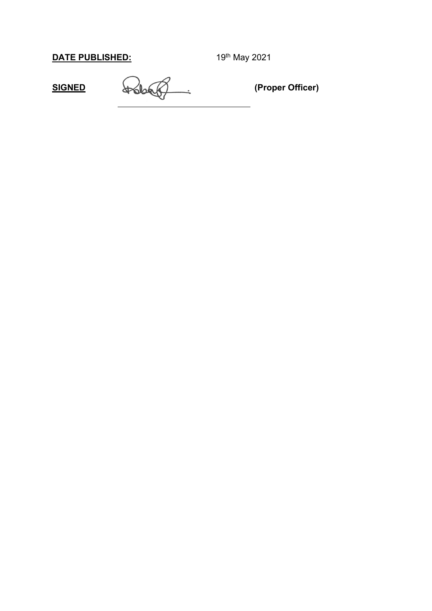**SIGNED (Proper Officer)**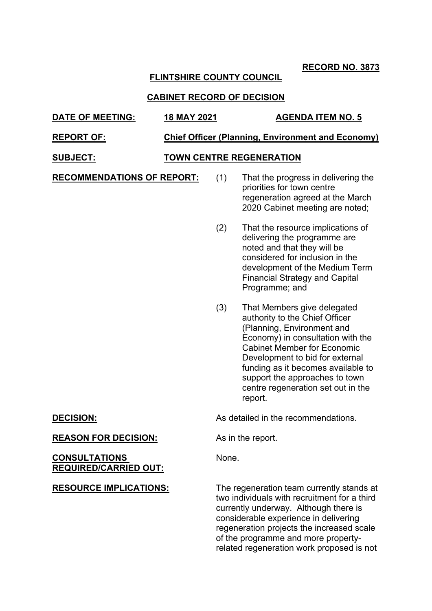## **FLINTSHIRE COUNTY COUNCIL**

## **CABINET RECORD OF DECISION**

## **DATE OF MEETING: 18 MAY 2021 AGENDA ITEM NO. 5**

#### **REPORT OF: Chief Officer (Planning, Environment and Economy)**

### **SUBJECT: TOWN CENTRE REGENERATION**

**RECOMMENDATIONS OF REPORT:** (1) That the progress in delivering the

## priorities for town centre regeneration agreed at the March 2020 Cabinet meeting are noted;

- (2) That the resource implications of delivering the programme are noted and that they will be considered for inclusion in the development of the Medium Term Financial Strategy and Capital Programme; and
- (3) That Members give delegated authority to the Chief Officer (Planning, Environment and Economy) in consultation with the Cabinet Member for Economic Development to bid for external funding as it becomes available to support the approaches to town centre regeneration set out in the report.

**DECISION:** As detailed in the recommendations.

**REASON FOR DECISION:** As in the report.

None.

#### **CONSULTATIONS REQUIRED/CARRIED OUT:**

**RESOURCE IMPLICATIONS:** The regeneration team currently stands at two individuals with recruitment for a third currently underway. Although there is considerable experience in delivering regeneration projects the increased scale of the programme and more propertyrelated regeneration work proposed is not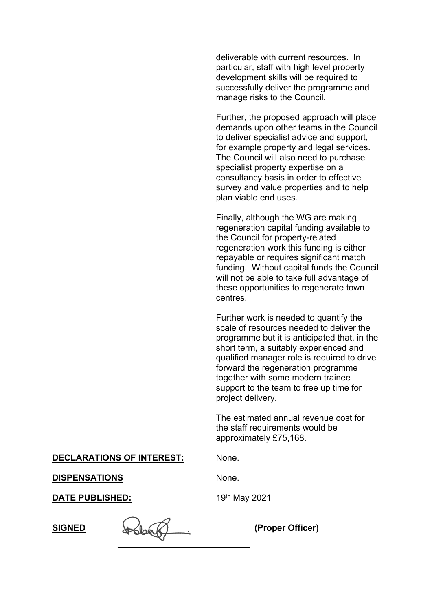deliverable with current resources. In particular, staff with high level property development skills will be required to successfully deliver the programme and manage risks to the Council.

Further, the proposed approach will place demands upon other teams in the Council to deliver specialist advice and support, for example property and legal services. The Council will also need to purchase specialist property expertise on a consultancy basis in order to effective survey and value properties and to help plan viable end uses.

Finally, although the WG are making regeneration capital funding available to the Council for property-related regeneration work this funding is either repayable or requires significant match funding. Without capital funds the Council will not be able to take full advantage of these opportunities to regenerate town centres.

Further work is needed to quantify the scale of resources needed to deliver the programme but it is anticipated that, in the short term, a suitably experienced and qualified manager role is required to drive forward the regeneration programme together with some modern trainee support to the team to free up time for project delivery.

The estimated annual revenue cost for the staff requirements would be approximately £75,168.

**DECLARATIONS OF INTEREST:** None.

**DISPENSATIONS** None.

**SIGNED (Proper Officer)**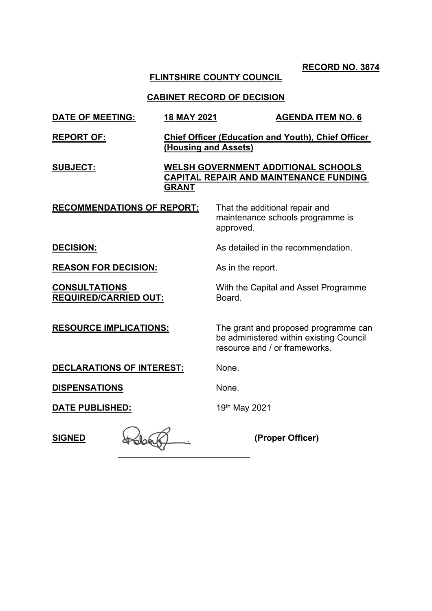## **FLINTSHIRE COUNTY COUNCIL**

| <b>DATE OF MEETING:</b>                              | 18 MAY 2021                                                                                                 |                                             | <b>AGENDA ITEM NO. 6</b>                                                        |
|------------------------------------------------------|-------------------------------------------------------------------------------------------------------------|---------------------------------------------|---------------------------------------------------------------------------------|
| <b>REPORT OF:</b>                                    | (Housing and Assets)                                                                                        |                                             | <b>Chief Officer (Education and Youth), Chief Officer</b>                       |
| <b>SUBJECT:</b>                                      | <b>WELSH GOVERNMENT ADDITIONAL SCHOOLS</b><br><b>CAPITAL REPAIR AND MAINTENANCE FUNDING</b><br><b>GRANT</b> |                                             |                                                                                 |
| <b>RECOMMENDATIONS OF REPORT:</b>                    |                                                                                                             | That the additional repair and<br>approved. | maintenance schools programme is                                                |
| <b>DECISION:</b>                                     |                                                                                                             |                                             | As detailed in the recommendation.                                              |
| <b>REASON FOR DECISION:</b>                          |                                                                                                             | As in the report.                           |                                                                                 |
| <b>CONSULTATIONS</b><br><b>REQUIRED/CARRIED OUT:</b> |                                                                                                             | Board.                                      | With the Capital and Asset Programme                                            |
| <b>RESOURCE IMPLICATIONS:</b>                        |                                                                                                             | resource and / or frameworks.               | The grant and proposed programme can<br>be administered within existing Council |
| <b>DECLARATIONS OF INTEREST:</b>                     |                                                                                                             | None.                                       |                                                                                 |
| <b>DISPENSATIONS</b>                                 |                                                                                                             | None.                                       |                                                                                 |
| <b>DATE PUBLISHED:</b>                               |                                                                                                             | 19th May 2021                               |                                                                                 |
| <b>SIGNED</b>                                        |                                                                                                             |                                             | (Proper Officer)                                                                |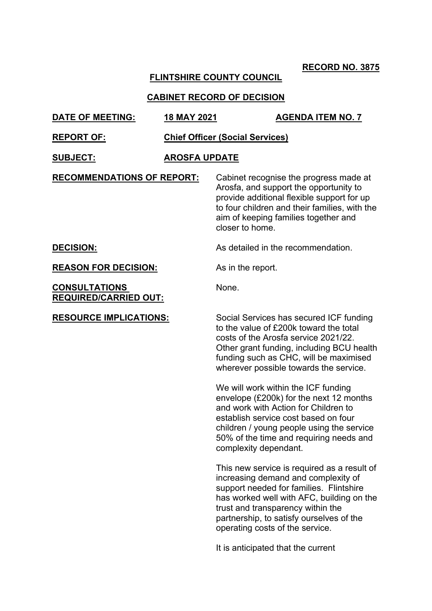## **FLINTSHIRE COUNTY COUNCIL**

## **CABINET RECORD OF DECISION**

| <b>DATE OF MEETING:</b>                              | <b>18 MAY 2021</b>                     |                       | <b>AGENDA ITEM NO. 7</b>                                                                                                                                                                                                                                                                       |  |
|------------------------------------------------------|----------------------------------------|-----------------------|------------------------------------------------------------------------------------------------------------------------------------------------------------------------------------------------------------------------------------------------------------------------------------------------|--|
| <b>REPORT OF:</b>                                    | <b>Chief Officer (Social Services)</b> |                       |                                                                                                                                                                                                                                                                                                |  |
| <b>SUBJECT:</b>                                      | <b>AROSFA UPDATE</b>                   |                       |                                                                                                                                                                                                                                                                                                |  |
| <b>RECOMMENDATIONS OF REPORT:</b>                    |                                        | closer to home.       | Cabinet recognise the progress made at<br>Arosfa, and support the opportunity to<br>provide additional flexible support for up<br>to four children and their families, with the<br>aim of keeping families together and                                                                        |  |
| <b>DECISION:</b>                                     |                                        |                       | As detailed in the recommendation.                                                                                                                                                                                                                                                             |  |
| <b>REASON FOR DECISION:</b>                          |                                        | As in the report.     |                                                                                                                                                                                                                                                                                                |  |
| <b>CONSULTATIONS</b><br><b>REQUIRED/CARRIED OUT:</b> |                                        | None.                 |                                                                                                                                                                                                                                                                                                |  |
| <b>RESOURCE IMPLICATIONS:</b>                        |                                        |                       | Social Services has secured ICF funding<br>to the value of £200k toward the total<br>costs of the Arosfa service 2021/22.<br>Other grant funding, including BCU health<br>funding such as CHC, will be maximised<br>wherever possible towards the service.                                     |  |
|                                                      |                                        | complexity dependant. | We will work within the ICF funding<br>envelope (£200k) for the next 12 months<br>and work with Action for Children to<br>establish service cost based on four<br>children / young people using the service<br>50% of the time and requiring needs and                                         |  |
|                                                      |                                        |                       | This new service is required as a result of<br>increasing demand and complexity of<br>support needed for families. Flintshire<br>has worked well with AFC, building on the<br>trust and transparency within the<br>partnership, to satisfy ourselves of the<br>operating costs of the service. |  |

It is anticipated that the current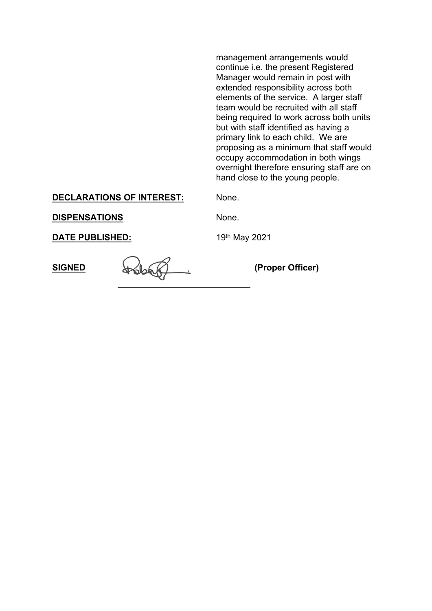management arrangements would continue i.e. the present Registered Manager would remain in post with extended responsibility across both elements of the service. A larger staff team would be recruited with all staff being required to work across both units but with staff identified as having a primary link to each child. We are proposing as a minimum that staff would occupy accommodation in both wings overnight therefore ensuring staff are on hand close to the young people.

#### **DECLARATIONS OF INTEREST:** None.

**DISPENSATIONS** None.

**SIGNED (Proper Officer)**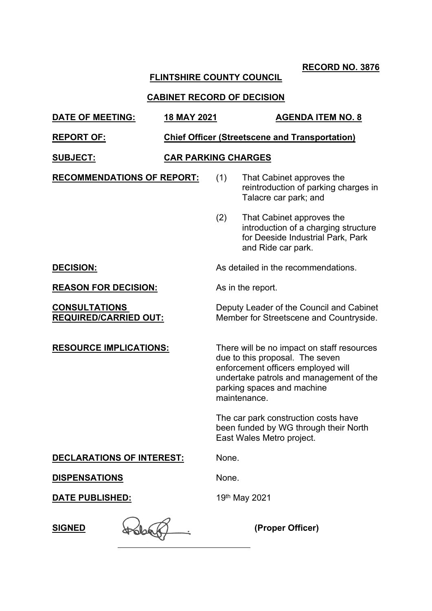## **FLINTSHIRE COUNTY COUNCIL**

| <b>DATE OF MEETING:</b>                              | 18 MAY 2021                                           |       | <b>AGENDA ITEM NO. 8</b>                                                                                                                                                                                     |  |  |
|------------------------------------------------------|-------------------------------------------------------|-------|--------------------------------------------------------------------------------------------------------------------------------------------------------------------------------------------------------------|--|--|
| <b>REPORT OF:</b>                                    | <b>Chief Officer (Streetscene and Transportation)</b> |       |                                                                                                                                                                                                              |  |  |
| <b>SUBJECT:</b>                                      | <b>CAR PARKING CHARGES</b>                            |       |                                                                                                                                                                                                              |  |  |
| <b>RECOMMENDATIONS OF REPORT:</b>                    |                                                       | (1)   | That Cabinet approves the<br>reintroduction of parking charges in<br>Talacre car park; and                                                                                                                   |  |  |
|                                                      |                                                       | (2)   | That Cabinet approves the<br>introduction of a charging structure<br>for Deeside Industrial Park, Park<br>and Ride car park.                                                                                 |  |  |
| <b>DECISION:</b>                                     |                                                       |       | As detailed in the recommendations.                                                                                                                                                                          |  |  |
| <b>REASON FOR DECISION:</b>                          |                                                       |       | As in the report.                                                                                                                                                                                            |  |  |
| <b>CONSULTATIONS</b><br><b>REQUIRED/CARRIED OUT:</b> |                                                       |       | Deputy Leader of the Council and Cabinet<br>Member for Streetscene and Countryside.                                                                                                                          |  |  |
| <b>RESOURCE IMPLICATIONS:</b>                        |                                                       |       | There will be no impact on staff resources<br>due to this proposal. The seven<br>enforcement officers employed will<br>undertake patrols and management of the<br>parking spaces and machine<br>maintenance. |  |  |
|                                                      |                                                       |       | The car park construction costs have<br>been funded by WG through their North<br>East Wales Metro project.                                                                                                   |  |  |
| <b>DECLARATIONS OF INTEREST:</b>                     |                                                       | None. |                                                                                                                                                                                                              |  |  |
| <b>DISPENSATIONS</b>                                 |                                                       | None. |                                                                                                                                                                                                              |  |  |
| <u>DATE PUBLISHED:</u>                               |                                                       |       | 19th May 2021                                                                                                                                                                                                |  |  |
| <b>SIGNED</b>                                        |                                                       |       | (Proper Officer)                                                                                                                                                                                             |  |  |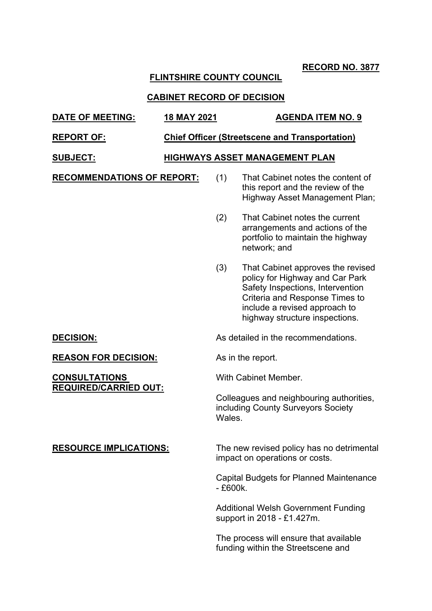## **FLINTSHIRE COUNTY COUNCIL**

#### **CABINET RECORD OF DECISION**

# **DATE OF MEETING: 18 MAY 2021 AGENDA ITEM NO. 9 REPORT OF: Chief Officer (Streetscene and Transportation) SUBJECT: HIGHWAYS ASSET MANAGEMENT PLAN**

**RECOMMENDATIONS OF REPORT:** (1) That Cabinet notes the content of

this report and the review of the Highway Asset Management Plan;

(2) That Cabinet notes the current arrangements and actions of the portfolio to maintain the highway network; and

(3) That Cabinet approves the revised policy for Highway and Car Park Safety Inspections, Intervention Criteria and Response Times to include a revised approach to highway structure inspections.

**DECISION:** As detailed in the recommendations.

**REASON FOR DECISION:** As in the report.

With Cabinet Member.

Colleagues and neighbouring authorities, including County Surveyors Society **Wales** 

**REQUIRED/CARRIED OUT:**

**CONSULTATIONS**

**RESOURCE IMPLICATIONS:** The new revised policy has no detrimental impact on operations or costs.

> Capital Budgets for Planned Maintenance  $-$  £600 $k$ .

Additional Welsh Government Funding support in 2018 - £1.427m.

The process will ensure that available funding within the Streetscene and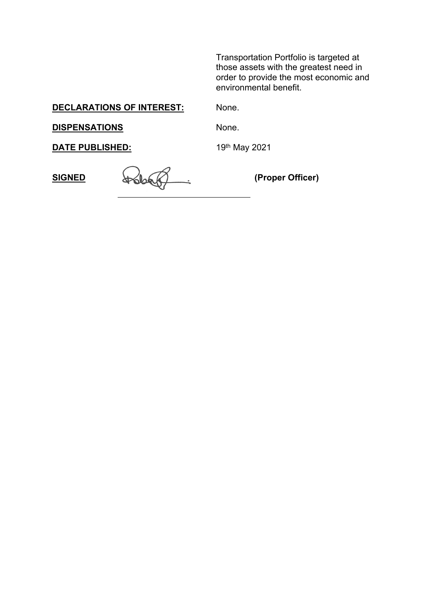Transportation Portfolio is targeted at those assets with the greatest need in order to provide the most economic and environmental benefit.

**DECLARATIONS OF INTEREST:** None.

**DISPENSATIONS** None.

**SIGNED (Proper Officer)**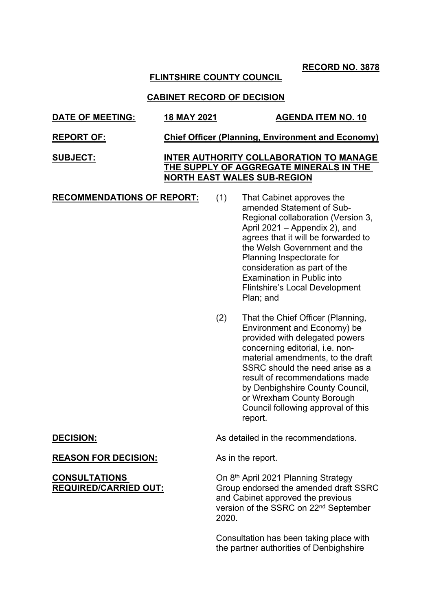### **FLINTSHIRE COUNTY COUNCIL**

#### **CABINET RECORD OF DECISION**

- **DATE OF MEETING: 18 MAY 2021 AGENDA ITEM NO. 10 REPORT OF: Chief Officer (Planning, Environment and Economy)**
- **SUBJECT: INTER AUTHORITY COLLABORATION TO MANAGE THE SUPPLY OF AGGREGATE MINERALS IN THE NORTH EAST WALES SUB-REGION**
- **RECOMMENDATIONS OF REPORT:** (1) That Cabinet approves the amended Statement of Sub-Regional collaboration (Version 3, April 2021 – Appendix 2), and agrees that it will be forwarded to the Welsh Government and the Planning Inspectorate for consideration as part of the Examination in Public into Flintshire's Local Development Plan; and
	- (2) That the Chief Officer (Planning, Environment and Economy) be provided with delegated powers concerning editorial, i.e. nonmaterial amendments, to the draft SSRC should the need arise as a result of recommendations made by Denbighshire County Council, or Wrexham County Borough Council following approval of this report.

**DECISION:** As detailed in the recommendations.

On 8<sup>th</sup> April 2021 Planning Strategy Group endorsed the amended draft SSRC and Cabinet approved the previous version of the SSRC on 22nd September 2020.

Consultation has been taking place with the partner authorities of Denbighshire

#### **REASON FOR DECISION:** As in the report.

#### **CONSULTATIONS REQUIRED/CARRIED OUT:**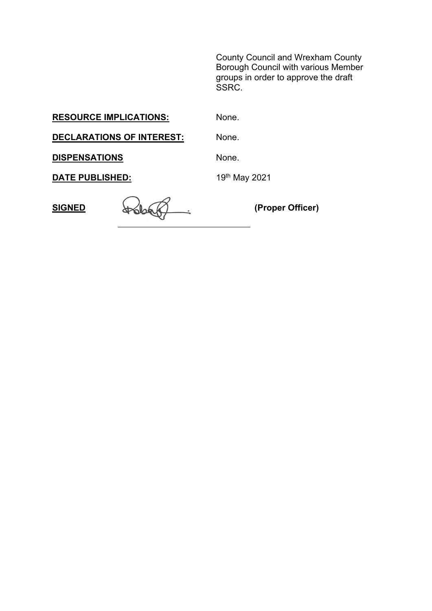County Council and Wrexham County Borough Council with various Member groups in order to approve the draft SSRC.

**RESOURCE IMPLICATIONS:** None.

**DECLARATIONS OF INTEREST:** None.

**DISPENSATIONS** None.

**SIGNED (Proper Officer)**